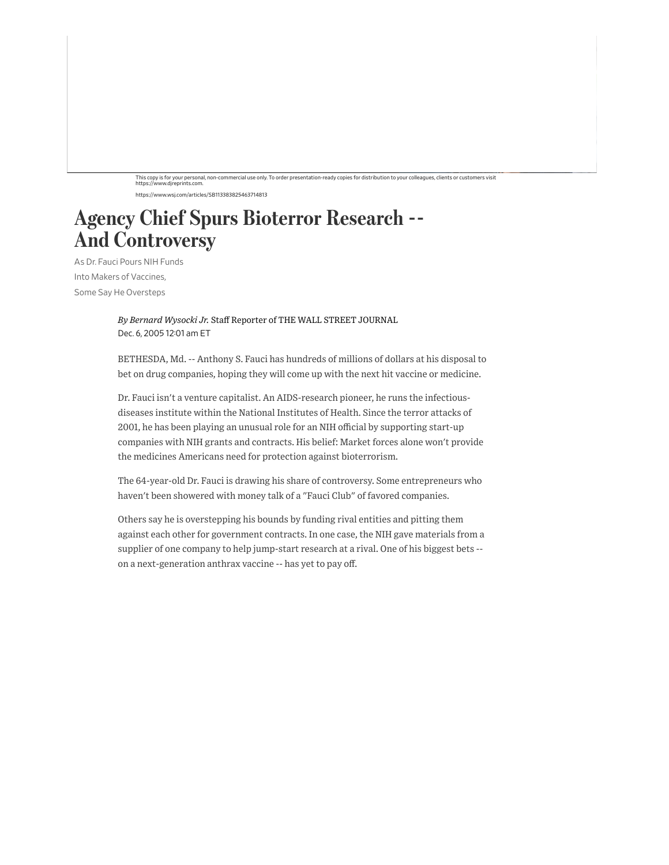## This copy is for your personal, non-commercial use only. To order presentation-ready copies for distribution to your colleagues, clients or customers visit https://www.djreprints.com.

https://www.wsj.com/articles/SB113383825463714813

## Agency Chief Spurs Bioterror Research -- And Controversy

As Dr. Fauci Pours NIH Funds Into Makers of Vaccines, Some Say He Oversteps

> *By Bernard Wysocki Jr.* Staff Reporter of THE WALL STREET JOURNAL Dec. 6, 2005 12:01 am ET

BETHESDA, Md. -- Anthony S. Fauci has hundreds of millions of dollars at his disposal to bet on drug companies, hoping they will come up with the next hit vaccine or medicine.

Dr. Fauci isn't a venture capitalist. An AIDS-research pioneer, he runs the infectiousdiseases institute within the National Institutes of Health. Since the terror attacks of 2001, he has been playing an unusual role for an NIH official by supporting start-up companies with NIH grants and contracts. His belief: Market forces alone won't provide the medicines Americans need for protection against bioterrorism.

The 64-year-old Dr. Fauci is drawing his share of controversy. Some entrepreneurs who haven't been showered with money talk of a "Fauci Club" of favored companies.

Others say he is overstepping his bounds by funding rival entities and pitting them against each other for government contracts. In one case, the NIH gave materials from a supplier of one company to help jump-start research at a rival. One of his biggest bets - on a next-generation anthrax vaccine -- has yet to pay off.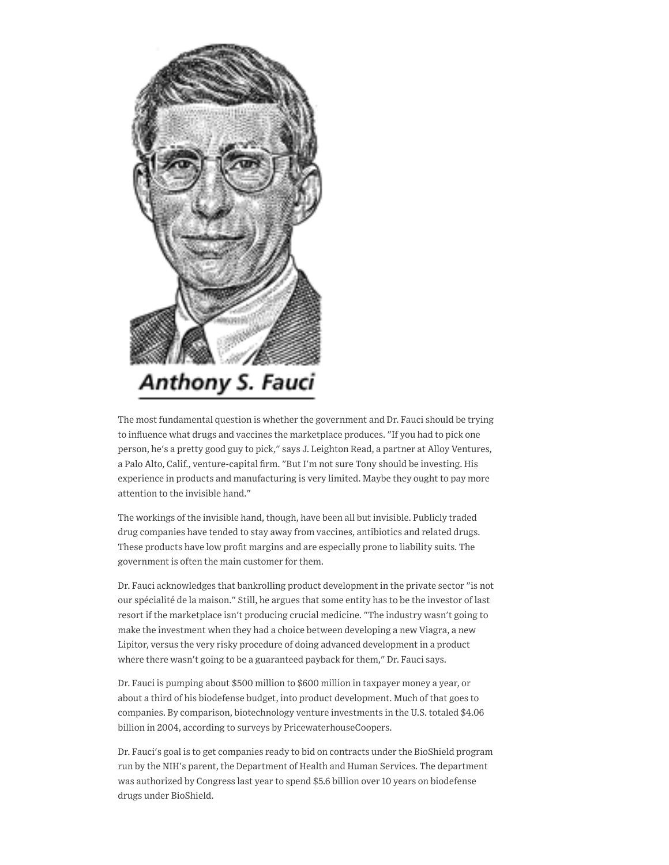

The most fundamental question is whether the government and Dr. Fauci should be trying to influence what drugs and vaccines the marketplace produces. "If you had to pick one person, he's a pretty good guy to pick," says J. Leighton Read, a partner at Alloy Ventures, a Palo Alto, Calif., venture-capital firm. "But I'm not sure Tony should be investing. His experience in products and manufacturing is very limited. Maybe they ought to pay more attention to the invisible hand."

The workings of the invisible hand, though, have been all but invisible. Publicly traded drug companies have tended to stay away from vaccines, antibiotics and related drugs. These products have low profit margins and are especially prone to liability suits. The government is often the main customer for them.

Dr. Fauci acknowledges that bankrolling product development in the private sector "is not our spécialité de la maison." Still, he argues that some entity has to be the investor of last resort if the marketplace isn't producing crucial medicine. "The industry wasn't going to make the investment when they had a choice between developing a new Viagra, a new Lipitor, versus the very risky procedure of doing advanced development in a product where there wasn't going to be a guaranteed payback for them," Dr. Fauci says.

Dr. Fauci is pumping about \$500 million to \$600 million in taxpayer money a year, or about a third of his biodefense budget, into product development. Much of that goes to companies. By comparison, biotechnology venture investments in the U.S. totaled \$4.06 billion in 2004, according to surveys by PricewaterhouseCoopers.

Dr. Fauci's goal is to get companies ready to bid on contracts under the BioShield program run by the NIH's parent, the Department of Health and Human Services. The department was authorized by Congress last year to spend \$5.6 billion over 10 years on biodefense drugs under BioShield.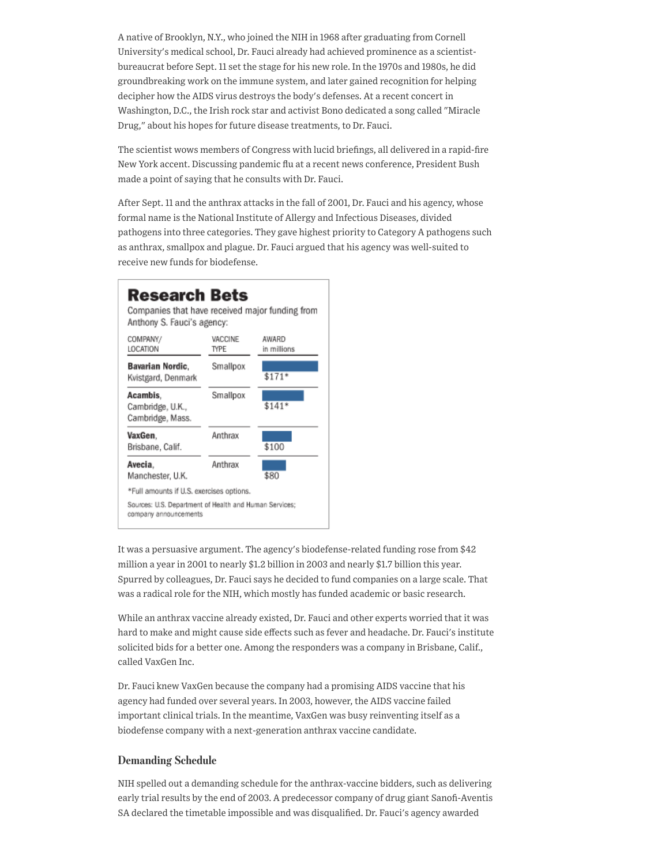A native of Brooklyn, N.Y., who joined the NIH in 1968 after graduating from Cornell University's medical school, Dr. Fauci already had achieved prominence as a scientistbureaucrat before Sept. 11 set the stage for his new role. In the 1970s and 1980s, he did groundbreaking work on the immune system, and later gained recognition for helping decipher how the AIDS virus destroys the body's defenses. At a recent concert in Washington, D.C., the Irish rock star and activist Bono dedicated a song called "Miracle Drug," about his hopes for future disease treatments, to Dr. Fauci.

The scientist wows members of Congress with lucid briefings, all delivered in a rapid-fire New York accent. Discussing pandemic flu at a recent news conference, President Bush made a point of saying that he consults with Dr. Fauci.

After Sept. 11 and the anthrax attacks in the fall of 2001, Dr. Fauci and his agency, whose formal name is the National Institute of Allergy and Infectious Diseases, divided pathogens into three categories. They gave highest priority to Category A pathogens such as anthrax, smallpox and plague. Dr. Fauci argued that his agency was well-suited to receive new funds for biodefense.



It was a persuasive argument. The agency's biodefense-related funding rose from \$42 million a year in 2001 to nearly \$1.2 billion in 2003 and nearly \$1.7 billion this year. Spurred by colleagues, Dr. Fauci says he decided to fund companies on a large scale. That was a radical role for the NIH, which mostly has funded academic or basic research.

While an anthrax vaccine already existed, Dr. Fauci and other experts worried that it was hard to make and might cause side effects such as fever and headache. Dr. Fauci's institute solicited bids for a better one. Among the responders was a company in Brisbane, Calif., called VaxGen Inc.

Dr. Fauci knew VaxGen because the company had a promising AIDS vaccine that his agency had funded over several years. In 2003, however, the AIDS vaccine failed important clinical trials. In the meantime, VaxGen was busy reinventing itself as a biodefense company with a next-generation anthrax vaccine candidate.

## Demanding Schedule

NIH spelled out a demanding schedule for the anthrax-vaccine bidders, such as delivering early trial results by the end of 2003. A predecessor company of drug giant Sanofi-Aventis SA declared the timetable impossible and was disqualified. Dr. Fauci's agency awarded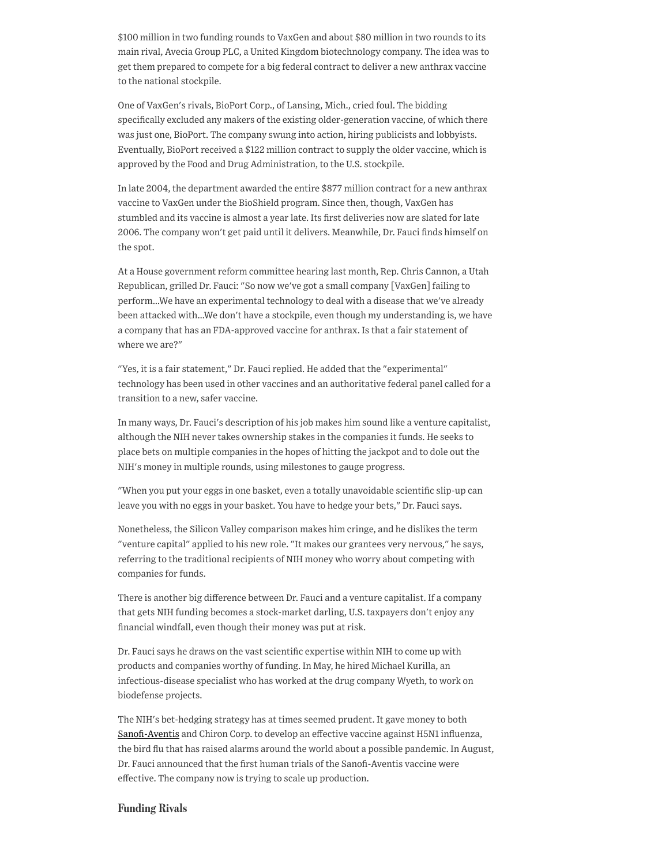\$100 million in two funding rounds to VaxGen and about \$80 million in two rounds to its main rival, Avecia Group PLC, a United Kingdom biotechnology company. The idea was to get them prepared to compete for a big federal contract to deliver a new anthrax vaccine to the national stockpile.

One of VaxGen's rivals, BioPort Corp., of Lansing, Mich., cried foul. The bidding specifically excluded any makers of the existing older-generation vaccine, of which there was just one, BioPort. The company swung into action, hiring publicists and lobbyists. Eventually, BioPort received a \$122 million contract to supply the older vaccine, which is approved by the Food and Drug Administration, to the U.S. stockpile.

In late 2004, the department awarded the entire \$877 million contract for a new anthrax vaccine to VaxGen under the BioShield program. Since then, though, VaxGen has stumbled and its vaccine is almost a year late. Its first deliveries now are slated for late 2006. The company won't get paid until it delivers. Meanwhile, Dr. Fauci finds himself on the spot.

At a House government reform committee hearing last month, Rep. Chris Cannon, a Utah Republican, grilled Dr. Fauci: "So now we've got a small company [VaxGen] failing to perform…We have an experimental technology to deal with a disease that we've already been attacked with…We don't have a stockpile, even though my understanding is, we have a company that has an FDA-approved vaccine for anthrax. Is that a fair statement of where we are?"

"Yes, it is a fair statement," Dr. Fauci replied. He added that the "experimental" technology has been used in other vaccines and an authoritative federal panel called for a transition to a new, safer vaccine.

In many ways, Dr. Fauci's description of his job makes him sound like a venture capitalist, although the NIH never takes ownership stakes in the companies it funds. He seeks to place bets on multiple companies in the hopes of hitting the jackpot and to dole out the NIH's money in multiple rounds, using milestones to gauge progress.

"When you put your eggs in one basket, even a totally unavoidable scientific slip-up can leave you with no eggs in your basket. You have to hedge your bets," Dr. Fauci says.

Nonetheless, the Silicon Valley comparison makes him cringe, and he dislikes the term "venture capital" applied to his new role. "It makes our grantees very nervous," he says, referring to the traditional recipients of NIH money who worry about competing with companies for funds.

There is another big difference between Dr. Fauci and a venture capitalist. If a company that gets NIH funding becomes a stock-market darling, U.S. taxpayers don't enjoy any financial windfall, even though their money was put at risk.

Dr. Fauci says he draws on the vast scientific expertise within NIH to come up with products and companies worthy of funding. In May, he hired Michael Kurilla, an infectious-disease specialist who has worked at the drug company Wyeth, to work on biodefense projects.

The NIH's bet-hedging strategy has at times seemed prudent. It gave money to both [Sanofi-Aventis](https://www.wsj.com/market-data/quotes/SNY) and Chiron Corp. to develop an effective vaccine against H5N1 influenza, the bird flu that has raised alarms around the world about a possible pandemic. In August, Dr. Fauci announced that the first human trials of the Sanofi-Aventis vaccine were effective. The company now is trying to scale up production.

## Funding Rivals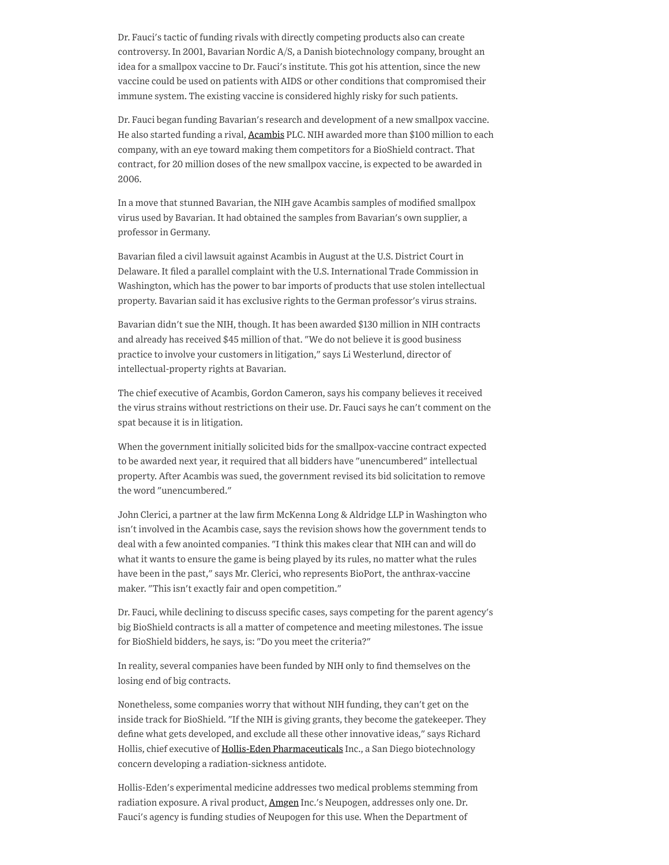Dr. Fauci's tactic of funding rivals with directly competing products also can create controversy. In 2001, Bavarian Nordic A/S, a Danish biotechnology company, brought an idea for a smallpox vaccine to Dr. Fauci's institute. This got his attention, since the new vaccine could be used on patients with AIDS or other conditions that compromised their immune system. The existing vaccine is considered highly risky for such patients.

Dr. Fauci began funding Bavarian's research and development of a new smallpox vaccine. He also started funding a rival, **[Acambis](https://www.wsj.com/market-data/quotes/acam)** PLC. NIH awarded more than \$100 million to each company, with an eye toward making them competitors for a BioShield contract. That contract, for 20 million doses of the new smallpox vaccine, is expected to be awarded in 2006.

In a move that stunned Bavarian, the NIH gave Acambis samples of modified smallpox virus used by Bavarian. It had obtained the samples from Bavarian's own supplier, a professor in Germany.

Bavarian filed a civil lawsuit against Acambis in August at the U.S. District Court in Delaware. It filed a parallel complaint with the U.S. International Trade Commission in Washington, which has the power to bar imports of products that use stolen intellectual property. Bavarian said it has exclusive rights to the German professor's virus strains.

Bavarian didn't sue the NIH, though. It has been awarded \$130 million in NIH contracts and already has received \$45 million of that. "We do not believe it is good business practice to involve your customers in litigation," says Li Westerlund, director of intellectual-property rights at Bavarian.

The chief executive of Acambis, Gordon Cameron, says his company believes it received the virus strains without restrictions on their use. Dr. Fauci says he can't comment on the spat because it is in litigation.

When the government initially solicited bids for the smallpox-vaccine contract expected to be awarded next year, it required that all bidders have "unencumbered" intellectual property. After Acambis was sued, the government revised its bid solicitation to remove the word "unencumbered."

John Clerici, a partner at the law firm McKenna Long & Aldridge LLP in Washington who isn't involved in the Acambis case, says the revision shows how the government tends to deal with a few anointed companies. "I think this makes clear that NIH can and will do what it wants to ensure the game is being played by its rules, no matter what the rules have been in the past," says Mr. Clerici, who represents BioPort, the anthrax-vaccine maker. "This isn't exactly fair and open competition."

Dr. Fauci, while declining to discuss specific cases, says competing for the parent agency's big BioShield contracts is all a matter of competence and meeting milestones. The issue for BioShield bidders, he says, is: "Do you meet the criteria?"

In reality, several companies have been funded by NIH only to find themselves on the losing end of big contracts.

Nonetheless, some companies worry that without NIH funding, they can't get on the inside track for BioShield. "If the NIH is giving grants, they become the gatekeeper. They define what gets developed, and exclude all these other innovative ideas," says Richard Hollis, chief executive of Hollis-Eden [Pharmaceuticals](https://www.wsj.com/market-data/quotes/HEPH) Inc., a San Diego biotechnology concern developing a radiation-sickness antidote.

Hollis-Eden's experimental medicine addresses two medical problems stemming from radiation exposure. A rival product, [Amgen](https://www.wsj.com/market-data/quotes/AMGN) Inc.'s Neupogen, addresses only one. Dr. Fauci's agency is funding studies of Neupogen for this use. When the Department of